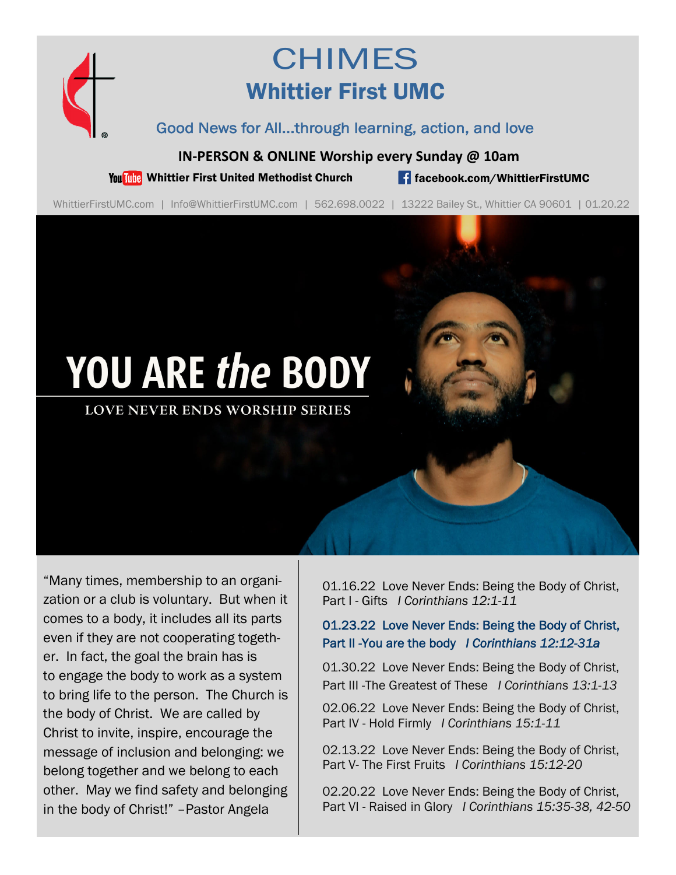

## **CHIMES** Whittier First UMC

Good News for All...through learning, action, and love

**IN‐PERSON & ONLINE Worship every Sunday @ 10am**

You Tube Whittier First United Methodist Church **for the Change of Schook.com/WhittierFirstUMC** 

WhittierFirstUMC.com | Info@WhittierFirstUMC.com | 562.698.0022 | 13222 Bailey St., Whittier CA 90601 | 01.20.22

# YOU ARE the BODY

**LOVE NEVER ENDS WORSHIP SERIES** 

"Many times, membership to an organization or a club is voluntary. But when it comes to a body, it includes all its parts even if they are not cooperating together. In fact, the goal the brain has is to engage the body to work as a system to bring life to the person. The Church is the body of Christ. We are called by Christ to invite, inspire, encourage the message of inclusion and belonging: we belong together and we belong to each other. May we find safety and belonging in the body of Christ!" –Pastor Angela

01.16.22 Love Never Ends: Being the Body of Christ, Part I - Gifts *I Corinthians 12:1-11* 

#### 01.23.22 Love Never Ends: Being the Body of Christ, Part II -You are the body *I Corinthians 12:12-31a*

01.30.22 Love Never Ends: Being the Body of Christ, Part III -The Greatest of These *I Corinthians 13:1-13*

02.06.22 Love Never Ends: Being the Body of Christ, Part IV - Hold Firmly *I Corinthians 15:1-11* 

02.13.22 Love Never Ends: Being the Body of Christ, Part V- The First Fruits *I Corinthians 15:12-20* 

02.20.22 Love Never Ends: Being the Body of Christ, Part VI - Raised in Glory *I Corinthians 15:35-38, 42-50*